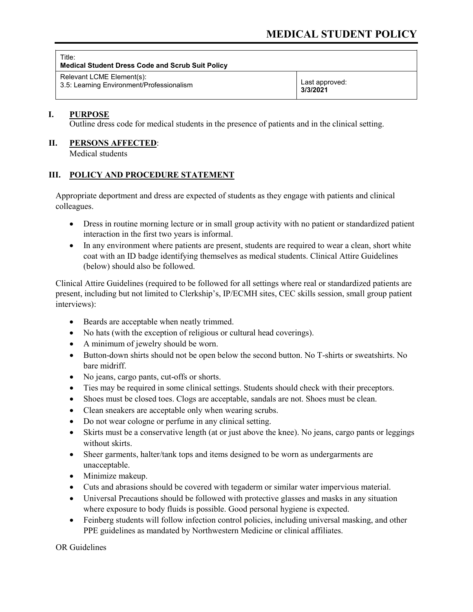| Title:<br><b>Medical Student Dress Code and Scrub Suit Policy</b> |                |
|-------------------------------------------------------------------|----------------|
| Relevant LCME Element(s):                                         | Last approved: |
| 3.5: Learning Environment/Professionalism                         | 3/3/2021       |

## **I. PURPOSE**

Outline dress code for medical students in the presence of patients and in the clinical setting.

## **II. PERSONS AFFECTED**:

Medical students

## **III. POLICY AND PROCEDURE STATEMENT**

Appropriate deportment and dress are expected of students as they engage with patients and clinical colleagues.

- Dress in routine morning lecture or in small group activity with no patient or standardized patient interaction in the first two years is informal.
- In any environment where patients are present, students are required to wear a clean, short white coat with an ID badge identifying themselves as medical students. Clinical Attire Guidelines (below) should also be followed.

Clinical Attire Guidelines (required to be followed for all settings where real or standardized patients are present, including but not limited to Clerkship's, IP/ECMH sites, CEC skills session, small group patient interviews):

- Beards are acceptable when neatly trimmed.
- No hats (with the exception of religious or cultural head coverings).
- A minimum of jewelry should be worn.
- Button-down shirts should not be open below the second button. No T-shirts or sweatshirts. No bare midriff.
- No jeans, cargo pants, cut-offs or shorts.
- Ties may be required in some clinical settings. Students should check with their preceptors.
- Shoes must be closed toes. Clogs are acceptable, sandals are not. Shoes must be clean.
- Clean sneakers are acceptable only when wearing scrubs.
- Do not wear cologne or perfume in any clinical setting.
- Skirts must be a conservative length (at or just above the knee). No jeans, cargo pants or leggings without skirts.
- Sheer garments, halter/tank tops and items designed to be worn as undergarments are unacceptable.
- Minimize makeup.
- Cuts and abrasions should be covered with tegaderm or similar water impervious material.
- Universal Precautions should be followed with protective glasses and masks in any situation where exposure to body fluids is possible. Good personal hygiene is expected.
- Feinberg students will follow infection control policies, including universal masking, and other PPE guidelines as mandated by Northwestern Medicine or clinical affiliates.

OR Guidelines